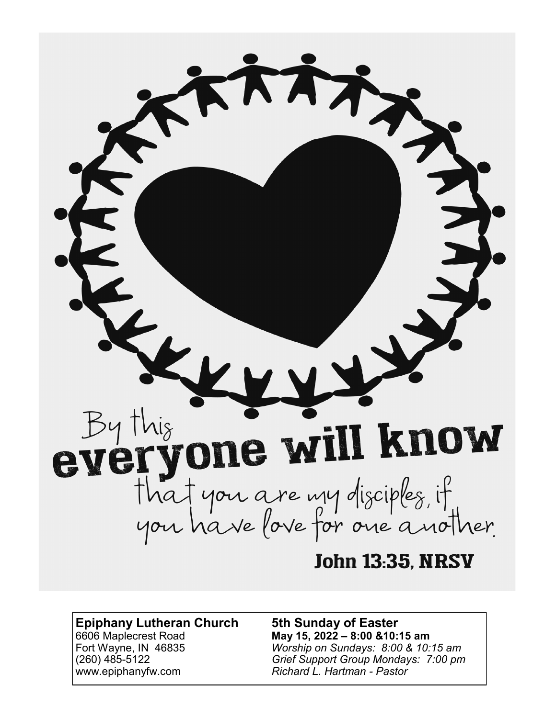

# **Epiphany Lutheran Church 5th Sunday of Easter** 6606 Maplecrest Road **May 15, 2022 – 8:00 &10:15 am** www.epiphanyfw.com *Richard L. Hartman - Pastor*

Fort Wayne, IN 46835 *Worship on Sundays: 8:00 & 10:15 am* (260) 485-5122 *Grief Support Group Mondays: 7:00 pm*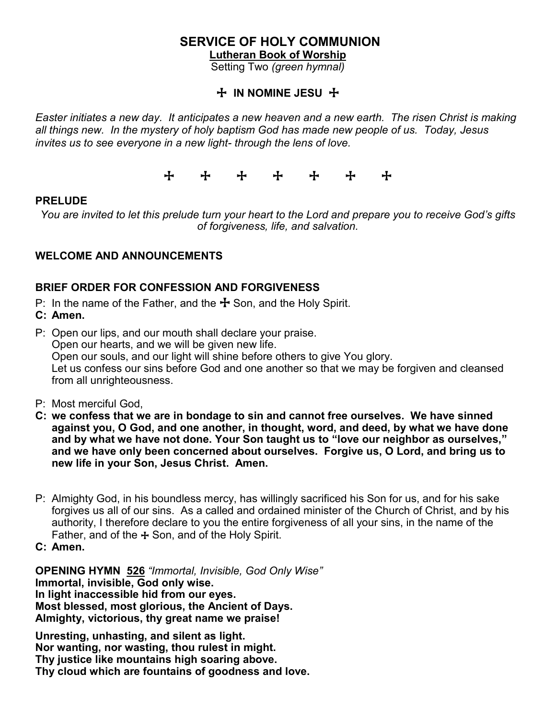# **SERVICE OF HOLY COMMUNION**

**Lutheran Book of Worship** 

Setting Two *(green hymnal)*

# + **IN NOMINE JESU** +

*Easter initiates a new day. It anticipates a new heaven and a new earth. The risen Christ is making all things new. In the mystery of holy baptism God has made new people of us. Today, Jesus invites us to see everyone in a new light- through the lens of love.* 

+ + + + + + +

#### **PRELUDE**

*You are invited to let this prelude turn your heart to the Lord and prepare you to receive God's gifts of forgiveness, life, and salvation.*

# **WELCOME AND ANNOUNCEMENTS**

# **BRIEF ORDER FOR CONFESSION AND FORGIVENESS**

- P: In the name of the Father, and the  $\pm$  Son, and the Holy Spirit.
- **C: Amen.**

P: Open our lips, and our mouth shall declare your praise. Open our hearts, and we will be given new life. Open our souls, and our light will shine before others to give You glory. Let us confess our sins before God and one another so that we may be forgiven and cleansed from all unrighteousness.

- P: Most merciful God,
- **C: we confess that we are in bondage to sin and cannot free ourselves. We have sinned against you, O God, and one another, in thought, word, and deed, by what we have done and by what we have not done. Your Son taught us to "love our neighbor as ourselves," and we have only been concerned about ourselves. Forgive us, O Lord, and bring us to new life in your Son, Jesus Christ. Amen.**
- P: Almighty God, in his boundless mercy, has willingly sacrificed his Son for us, and for his sake forgives us all of our sins. As a called and ordained minister of the Church of Christ, and by his authority, I therefore declare to you the entire forgiveness of all your sins, in the name of the Father, and of the  $+$  Son, and of the Holy Spirit.
- **C: Amen.**

**OPENING HYMN 526** *"Immortal, Invisible, God Only Wise"* **Immortal, invisible, God only wise. In light inaccessible hid from our eyes. Most blessed, most glorious, the Ancient of Days. Almighty, victorious, thy great name we praise!**

**Unresting, unhasting, and silent as light. Nor wanting, nor wasting, thou rulest in might. Thy justice like mountains high soaring above. Thy cloud which are fountains of goodness and love.**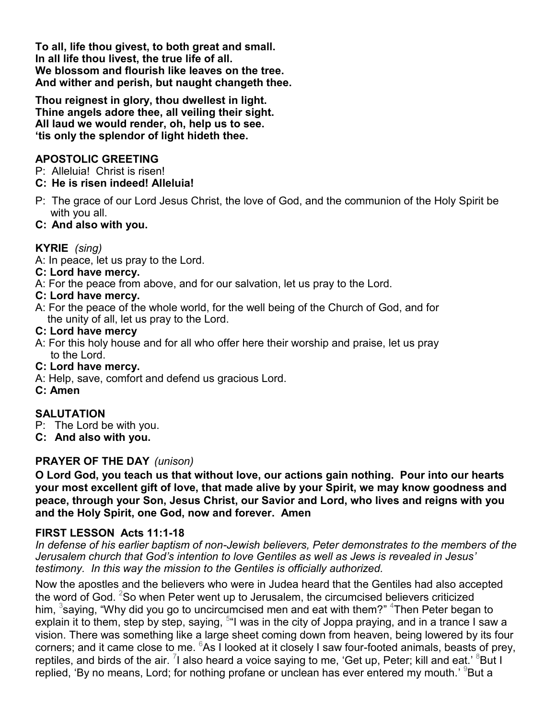**To all, life thou givest, to both great and small. In all life thou livest, the true life of all. We blossom and flourish like leaves on the tree. And wither and perish, but naught changeth thee.**

**Thou reignest in glory, thou dwellest in light. Thine angels adore thee, all veiling their sight. All laud we would render, oh, help us to see. 'tis only the splendor of light hideth thee.**

## **APOSTOLIC GREETING**

P: Alleluia! Christ is risen!

## **C: He is risen indeed! Alleluia!**

P: The grace of our Lord Jesus Christ, the love of God, and the communion of the Holy Spirit be with you all.

## **C: And also with you.**

# **KYRIE** *(sing)*

A: In peace, let us pray to the Lord.

#### **C: Lord have mercy.**

A: For the peace from above, and for our salvation, let us pray to the Lord.

#### **C: Lord have mercy.**

A: For the peace of the whole world, for the well being of the Church of God, and for the unity of all, let us pray to the Lord.

#### **C: Lord have mercy**

A: For this holy house and for all who offer here their worship and praise, let us pray to the Lord.

#### **C: Lord have mercy.**

- A: Help, save, comfort and defend us gracious Lord.
- **C: Amen**

#### **SALUTATION**

- P: The Lord be with you.
- **C: And also with you.**

#### **PRAYER OF THE DAY** *(unison)*

**O Lord God, you teach us that without love, our actions gain nothing. Pour into our hearts your most excellent gift of love, that made alive by your Spirit, we may know goodness and peace, through your Son, Jesus Christ, our Savior and Lord, who lives and reigns with you and the Holy Spirit, one God, now and forever. Amen**

#### **FIRST LESSON Acts 11:1-18**

*In defense of his earlier baptism of non-Jewish believers, Peter demonstrates to the members of the Jerusalem church that God's intention to love Gentiles as well as Jews is revealed in Jesus' testimony. In this way the mission to the Gentiles is officially authorized.*

Now the apostles and the believers who were in Judea heard that the Gentiles had also accepted the word of God.  $2$ So when Peter went up to Jerusalem, the circumcised believers criticized him,  $^3$ saying, "Why did you go to uncircumcised men and eat with them?"  $^4$ Then Peter began to explain it to them, step by step, saying, <sup>5</sup>"I was in the city of Joppa praying, and in a trance I saw a vision. There was something like a large sheet coming down from heaven, being lowered by its four corners; and it came close to me.  $6$ As I looked at it closely I saw four-footed animals, beasts of prey, reptiles, and birds of the air.  $^7$ I also heard a voice saying to me, 'Get up, Peter; kill and eat.'  $^8$ But I replied, 'By no means, Lord; for nothing profane or unclean has ever entered my mouth.' <sup>9</sup>But a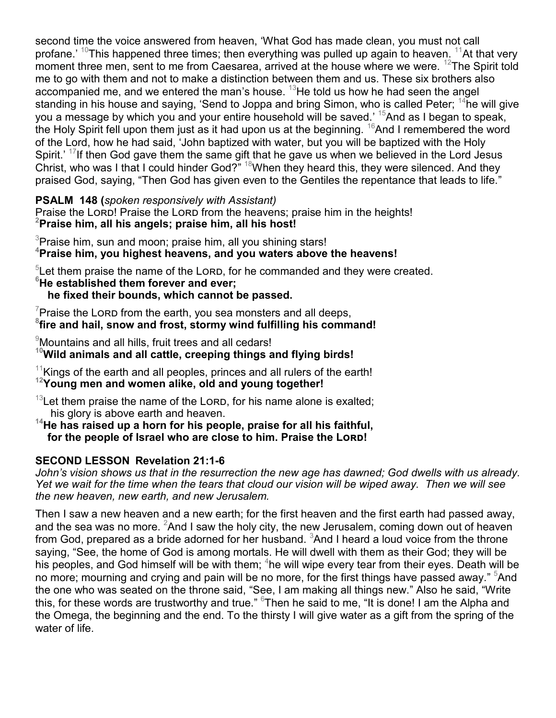second time the voice answered from heaven, 'What God has made clean, you must not call profane.' <sup>10</sup>This happened three times; then everything was pulled up again to heaven. <sup>11</sup>At that very moment three men, sent to me from Caesarea, arrived at the house where we were.  $^{12}$ The Spirit told me to go with them and not to make a distinction between them and us. These six brothers also accompanied me, and we entered the man's house.  $13$ He told us how he had seen the angel standing in his house and saying, 'Send to Joppa and bring Simon, who is called Peter;  $^{14}$ he will give you a message by which you and your entire household will be saved.' <sup>15</sup>And as I began to speak, the Holy Spirit fell upon them just as it had upon us at the beginning.  $16$ And I remembered the word of the Lord, how he had said, 'John baptized with water, but you will be baptized with the Holy Spirit.'  $17$ If then God gave them the same gift that he gave us when we believed in the Lord Jesus Christ, who was I that I could hinder God?" <sup>18</sup>When they heard this, they were silenced. And they praised God, saying, "Then God has given even to the Gentiles the repentance that leads to life."

**PSALM 148 (***spoken responsively with Assistant)*

Praise the LORD! Praise the LORD from the heavens; praise him in the heights! **<sup>2</sup>Praise him, all his angels; praise him, all his host!**

 $3$ Praise him, sun and moon; praise him, all you shining stars! **<sup>4</sup>Praise him, you highest heavens, and you waters above the heavens!**

 $5$ Let them praise the name of the Lorn, for he commanded and they were created. **<sup>6</sup>He established them forever and ever;** 

 **he fixed their bounds, which cannot be passed.**

 $\gamma$ Praise the Lore from the earth, you sea monsters and all deeps, **8 fire and hail, snow and frost, stormy wind fulfilling his command!**

 $\degree$ Mountains and all hills, fruit trees and all cedars!

**<sup>10</sup>Wild animals and all cattle, creeping things and flying birds!**

 $11$ Kings of the earth and all peoples, princes and all rulers of the earth! **<sup>12</sup>Young men and women alike, old and young together!**

 $13$ Let them praise the name of the Lorp, for his name alone is exalted; his glory is above earth and heaven.

**<sup>14</sup>He has raised up a horn for his people, praise for all his faithful, for the people of Israel who are close to him. Praise the Lord!**

# **SECOND LESSON Revelation 21:1-6**

*John's vision shows us that in the resurrection the new age has dawned; God dwells with us already. Yet we wait for the time when the tears that cloud our vision will be wiped away. Then we will see the new heaven, new earth, and new Jerusalem.*

Then I saw a new heaven and a new earth; for the first heaven and the first earth had passed away, and the sea was no more.  ${}^{2}$ And I saw the holy city, the new Jerusalem, coming down out of heaven from God, prepared as a bride adorned for her husband.  ${}^{3}$ And I heard a loud voice from the throne saying, "See, the home of God is among mortals. He will dwell with them as their God; they will be his peoples, and God himself will be with them; <sup>4</sup>he will wipe every tear from their eyes. Death will be no more; mourning and crying and pain will be no more, for the first things have passed away." <sup>5</sup>And the one who was seated on the throne said, "See, I am making all things new." Also he said, "Write this, for these words are trustworthy and true." <sup>6</sup>Then he said to me, "It is done! I am the Alpha and the Omega, the beginning and the end. To the thirsty I will give water as a gift from the spring of the water of life.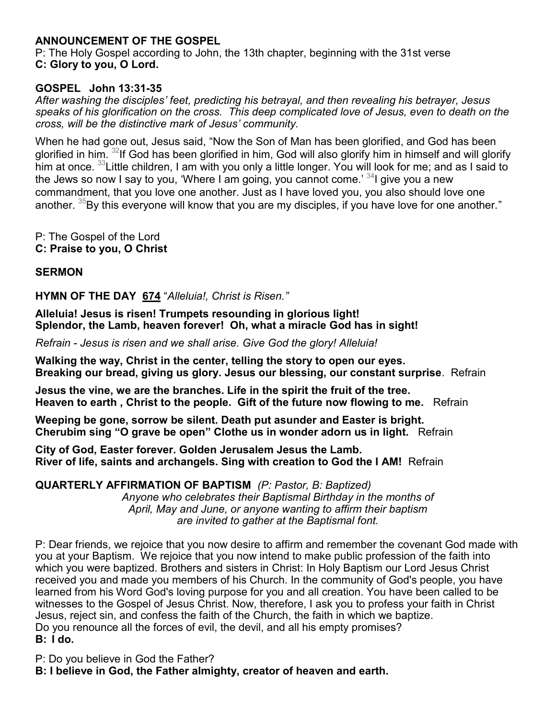# **ANNOUNCEMENT OF THE GOSPEL**

P: The Holy Gospel according to John, the 13th chapter, beginning with the 31st verse **C: Glory to you, O Lord.**

## **GOSPEL John 13:31-35**

*After washing the disciples' feet, predicting his betrayal, and then revealing his betrayer, Jesus speaks of his glorification on the cross. This deep complicated love of Jesus, even to death on the cross, will be the distinctive mark of Jesus' community.*

When he had gone out, Jesus said, "Now the Son of Man has been glorified, and God has been glorified in him. <sup>32</sup>If God has been glorified in him, God will also glorify him in himself and will glorify him at once. <sup>33</sup> Little children, I am with you only a little longer. You will look for me; and as I said to the Jews so now I say to you, 'Where I am going, you cannot come.' <sup>34</sup>I give you a new commandment, that you love one another. Just as I have loved you, you also should love one another.  $35By$  this everyone will know that you are my disciples, if you have love for one another."

P: The Gospel of the Lord **C: Praise to you, O Christ**

#### **SERMON**

**HYMN OF THE DAY 674** "*Alleluia!, Christ is Risen."*

**Alleluia! Jesus is risen! Trumpets resounding in glorious light! Splendor, the Lamb, heaven forever! Oh, what a miracle God has in sight!**

*Refrain - Jesus is risen and we shall arise. Give God the glory! Alleluia!*

**Walking the way, Christ in the center, telling the story to open our eyes. Breaking our bread, giving us glory. Jesus our blessing, our constant surprise**. Refrain

**Jesus the vine, we are the branches. Life in the spirit the fruit of the tree. Heaven to earth , Christ to the people. Gift of the future now flowing to me.** Refrain

**Weeping be gone, sorrow be silent. Death put asunder and Easter is bright. Cherubim sing "O grave be open" Clothe us in wonder adorn us in light.** Refrain

**City of God, Easter forever. Golden Jerusalem Jesus the Lamb. River of life, saints and archangels. Sing with creation to God the I AM!** Refrain

**QUARTERLY AFFIRMATION OF BAPTISM** *(P: Pastor, B: Baptized)*

*Anyone who celebrates their Baptismal Birthday in the months of April, May and June, or anyone wanting to affirm their baptism are invited to gather at the Baptismal font.*

P: Dear friends, we rejoice that you now desire to affirm and remember the covenant God made with you at your Baptism. We rejoice that you now intend to make public profession of the faith into which you were baptized. Brothers and sisters in Christ: In Holy Baptism our Lord Jesus Christ received you and made you members of his Church. In the community of God's people, you have learned from his Word God's loving purpose for you and all creation. You have been called to be witnesses to the Gospel of Jesus Christ. Now, therefore, I ask you to profess your faith in Christ Jesus, reject sin, and confess the faith of the Church, the faith in which we baptize. Do you renounce all the forces of evil, the devil, and all his empty promises? **B: I do.**

P: Do you believe in God the Father?

**B: I believe in God, the Father almighty, creator of heaven and earth.**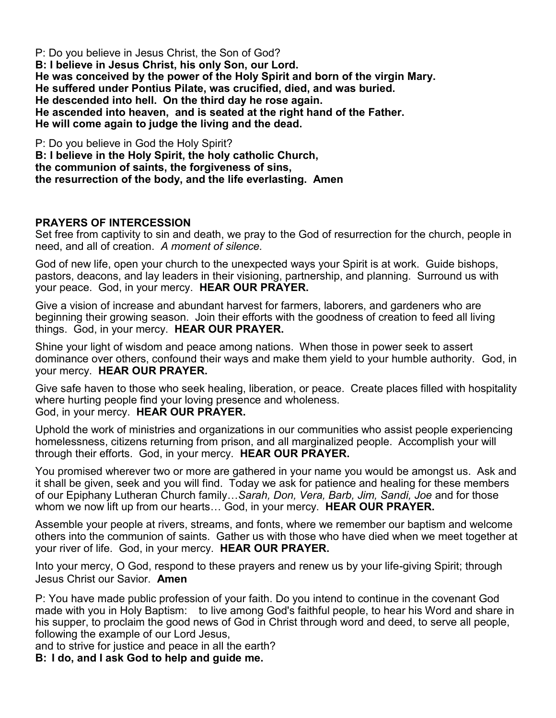P: Do you believe in Jesus Christ, the Son of God? **B: I believe in Jesus Christ, his only Son, our Lord. He was conceived by the power of the Holy Spirit and born of the virgin Mary. He suffered under Pontius Pilate, was crucified, died, and was buried. He descended into hell. On the third day he rose again. He ascended into heaven, and is seated at the right hand of the Father. He will come again to judge the living and the dead.**

P: Do you believe in God the Holy Spirit? **B: I believe in the Holy Spirit, the holy catholic Church, the communion of saints, the forgiveness of sins, the resurrection of the body, and the life everlasting. Amen**

# **PRAYERS OF INTERCESSION**

Set free from captivity to sin and death, we pray to the God of resurrection for the church, people in need, and all of creation. *A moment of silence.*

God of new life, open your church to the unexpected ways your Spirit is at work. Guide bishops, pastors, deacons, and lay leaders in their visioning, partnership, and planning. Surround us with your peace. God, in your mercy. **HEAR OUR PRAYER.**

Give a vision of increase and abundant harvest for farmers, laborers, and gardeners who are beginning their growing season. Join their efforts with the goodness of creation to feed all living things. God, in your mercy. **HEAR OUR PRAYER.**

Shine your light of wisdom and peace among nations. When those in power seek to assert dominance over others, confound their ways and make them yield to your humble authority. God, in your mercy. **HEAR OUR PRAYER.**

Give safe haven to those who seek healing, liberation, or peace. Create places filled with hospitality where hurting people find your loving presence and wholeness. God, in your mercy. **HEAR OUR PRAYER.**

Uphold the work of ministries and organizations in our communities who assist people experiencing homelessness, citizens returning from prison, and all marginalized people. Accomplish your will through their efforts. God, in your mercy. **HEAR OUR PRAYER.**

You promised wherever two or more are gathered in your name you would be amongst us. Ask and it shall be given, seek and you will find. Today we ask for patience and healing for these members of our Epiphany Lutheran Church family…*Sarah, Don, Vera, Barb, Jim, Sandi, Joe* and for those whom we now lift up from our hearts… God, in your mercy. **HEAR OUR PRAYER.**

Assemble your people at rivers, streams, and fonts, where we remember our baptism and welcome others into the communion of saints. Gather us with those who have died when we meet together at your river of life. God, in your mercy. **HEAR OUR PRAYER.**

Into your mercy, O God, respond to these prayers and renew us by your life-giving Spirit; through Jesus Christ our Savior. **Amen**

P: You have made public profession of your faith. Do you intend to continue in the covenant God made with you in Holy Baptism: to live among God's faithful people, to hear his Word and share in his supper, to proclaim the good news of God in Christ through word and deed, to serve all people, following the example of our Lord Jesus,

and to strive for justice and peace in all the earth?

**B: I do, and I ask God to help and guide me.**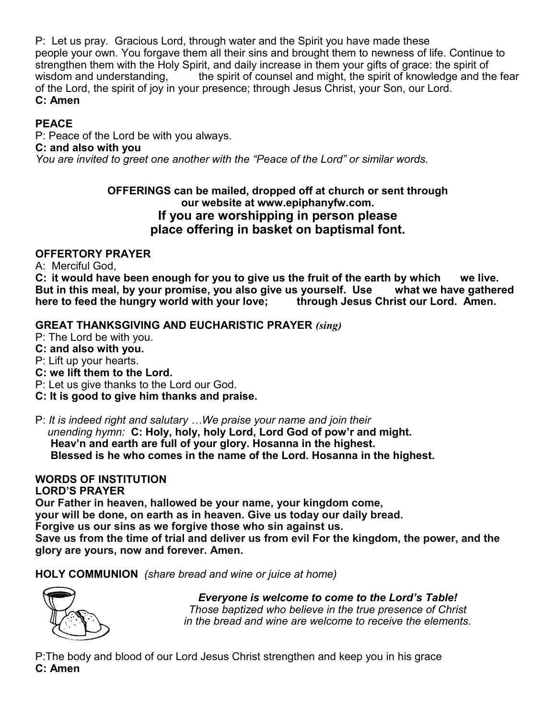P: Let us pray. Gracious Lord, through water and the Spirit you have made these people your own. You forgave them all their sins and brought them to newness of life. Continue to strengthen them with the Holy Spirit, and daily increase in them your gifts of grace: the spirit of wisdom and understanding, The spirit of counsel and might, the spirit of knowledge and the fear of the Lord, the spirit of joy in your presence; through Jesus Christ, your Son, our Lord. **C: Amen**

# **PEACE**

P: Peace of the Lord be with you always. **C: and also with you**

*You are invited to greet one another with the "Peace of the Lord" or similar words.*

# **OFFERINGS can be mailed, dropped off at church or sent through our website at www.epiphanyfw.com. If you are worshipping in person please place offering in basket on baptismal font.**

# **OFFERTORY PRAYER**

A: Merciful God,

**C: it would have been enough for you to give us the fruit of the earth by which we live. But in this meal, by your promise, you also give us yourself. Use what we have gathered here to feed the hungry world with your love; through Jesus Christ our Lord. Amen.**

# **GREAT THANKSGIVING AND EUCHARISTIC PRAYER** *(sing)*

P: The Lord be with you.

**C: and also with you.**

P: Lift up your hearts.

- **C: we lift them to the Lord.**
- P: Let us give thanks to the Lord our God.
- **C: It is good to give him thanks and praise.**

P: *It is indeed right and salutary …We praise your name and join their* 

 *unending hymn:* **C: Holy, holy, holy Lord, Lord God of pow'r and might. Heav'n and earth are full of your glory. Hosanna in the highest. Blessed is he who comes in the name of the Lord. Hosanna in the highest.**

# **WORDS OF INSTITUTION**

# **LORD'S PRAYER**

**Our Father in heaven, hallowed be your name, your kingdom come,**

**your will be done, on earth as in heaven. Give us today our daily bread.** 

**Forgive us our sins as we forgive those who sin against us.**

**Save us from the time of trial and deliver us from evil For the kingdom, the power, and the glory are yours, now and forever. Amen.** 

**HOLY COMMUNION** *(share bread and wine or juice at home)*



 *Everyone is welcome to come to the Lord's Table! Those baptized who believe in the true presence of Christ in the bread and wine are welcome to receive the elements.* 

P:The body and blood of our Lord Jesus Christ strengthen and keep you in his grace **C: Amen**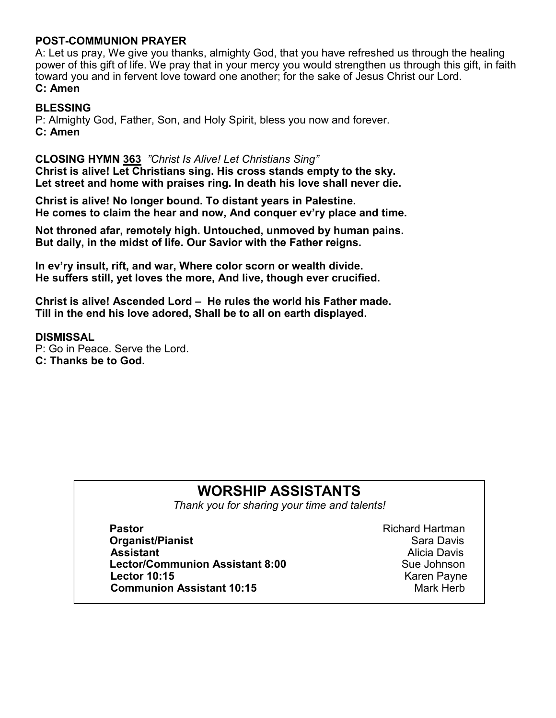## **POST-COMMUNION PRAYER**

A: Let us pray, We give you thanks, almighty God, that you have refreshed us through the healing power of this gift of life. We pray that in your mercy you would strengthen us through this gift, in faith toward you and in fervent love toward one another; for the sake of Jesus Christ our Lord. **C: Amen**

#### **BLESSING**

P: Almighty God, Father, Son, and Holy Spirit, bless you now and forever. **C: Amen**

#### **CLOSING HYMN 363** *"Christ Is Alive! Let Christians Sing"*

**Christ is alive! Let Christians sing. His cross stands empty to the sky. Let street and home with praises ring. In death his love shall never die.**

**Christ is alive! No longer bound. To distant years in Palestine. He comes to claim the hear and now, And conquer ev'ry place and time.**

**Not throned afar, remotely high. Untouched, unmoved by human pains. But daily, in the midst of life. Our Savior with the Father reigns.**

**In ev'ry insult, rift, and war, Where color scorn or wealth divide. He suffers still, yet loves the more, And live, though ever crucified.**

**Christ is alive! Ascended Lord – He rules the world his Father made. Till in the end his love adored, Shall be to all on earth displayed.**

#### **DISMISSAL**

P: Go in Peace. Serve the Lord. **C: Thanks be to God.**

# **WORSHIP ASSISTANTS**

*Thank you for sharing your time and talents!*

**Pastor Pastor Pastor Richard Hartman Organist/Pianist Sara Davis Contract According Contract According Contract According Contract According Contract According Contract According Contract According Contract According Contract According Contract According Assistant** Alicia Davis **Lector/Communion Assistant 8:00 Lector 10:15 Contract Contract Contract Contract Contract Contract Contract Contract Contract Contract Contract Contract Contract Contract Contract Contract Contract Contract Contract Contract Contract Contract Contract Communion Assistant 10:15** Mark Herb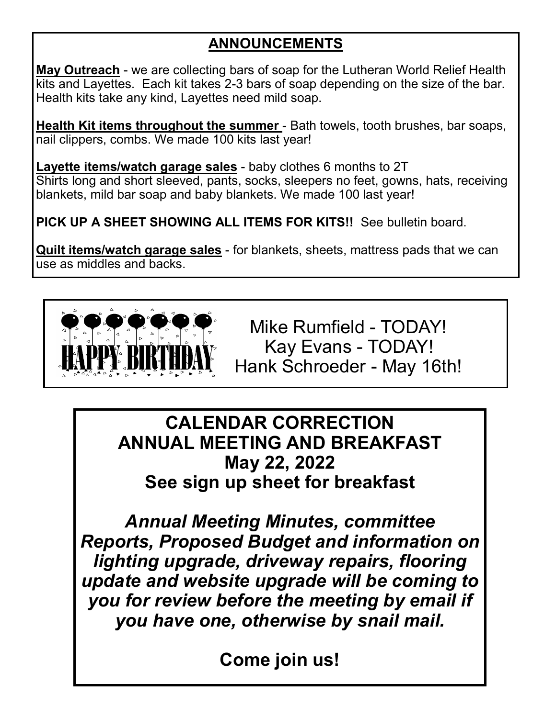# **ANNOUNCEMENTS**

**May Outreach** - we are collecting bars of soap for the Lutheran World Relief Health kits and Layettes. Each kit takes 2-3 bars of soap depending on the size of the bar. Health kits take any kind, Layettes need mild soap.

**Health Kit items throughout the summer** - Bath towels, tooth brushes, bar soaps, nail clippers, combs. We made 100 kits last year!

**Layette items/watch garage sales** - baby clothes 6 months to 2T Shirts long and short sleeved, pants, socks, sleepers no feet, gowns, hats, receiving blankets, mild bar soap and baby blankets. We made 100 last year!

**PICK UP A SHEET SHOWING ALL ITEMS FOR KITS!!** See bulletin board.

**Quilt items/watch garage sales** - for blankets, sheets, mattress pads that we can use as middles and backs.



 Mike Rumfield - TODAY! Kay Evans - TODAY! Hank Schroeder - May 16th!

**CALENDAR CORRECTION ANNUAL MEETING AND BREAKFAST May 22, 2022 See sign up sheet for breakfast**

*Annual Meeting Minutes, committee Reports, Proposed Budget and information on lighting upgrade, driveway repairs, flooring update and website upgrade will be coming to you for review before the meeting by email if you have one, otherwise by snail mail.*

**Come join us!**